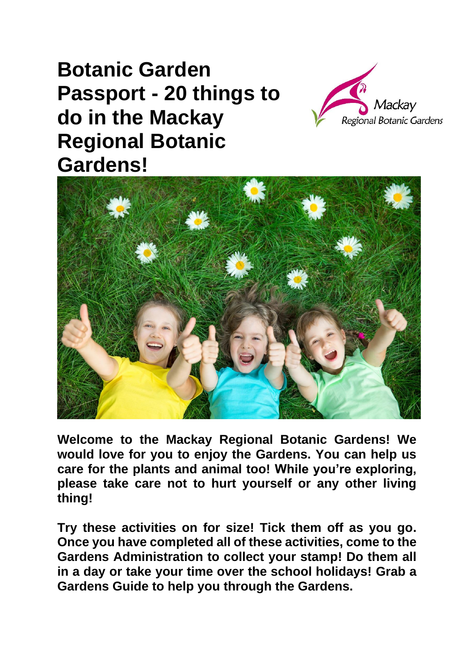## **Botanic Garden Passport - 20 things to do in the Mackay Regional Botanic Gardens!**





**Welcome to the Mackay Regional Botanic Gardens! We would love for you to enjoy the Gardens. You can help us care for the plants and animal too! While you're exploring, please take care not to hurt yourself or any other living thing!**

**Try these activities on for size! Tick them off as you go. Once you have completed all of these activities, come to the Gardens Administration to collect your stamp! Do them all in a day or take your time over the school holidays! Grab a Gardens Guide to help you through the Gardens.**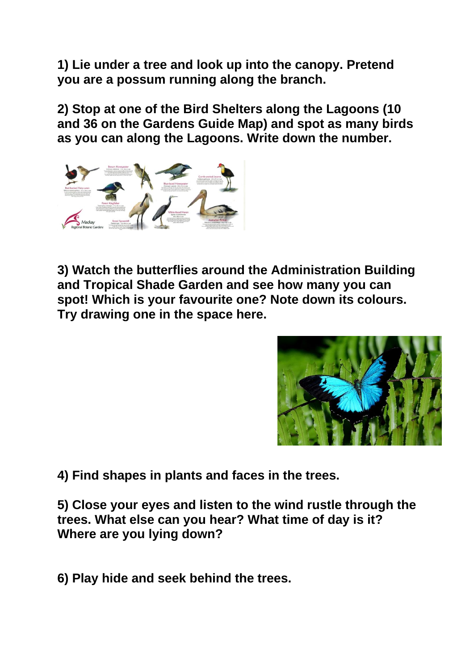**1) Lie under a tree and look up into the canopy. Pretend you are a possum running along the branch.**

**2) Stop at one of the Bird Shelters along the Lagoons (10 and 36 on the Gardens Guide Map) and spot as many birds as you can along the Lagoons. Write down the number.**



**3) Watch the butterflies around the Administration Building and Tropical Shade Garden and see how many you can spot! Which is your favourite one? Note down its colours. Try drawing one in the space here.**



**4) Find shapes in plants and faces in the trees.**

**5) Close your eyes and listen to the wind rustle through the trees. What else can you hear? What time of day is it? Where are you lying down?**

**6) Play hide and seek behind the trees.**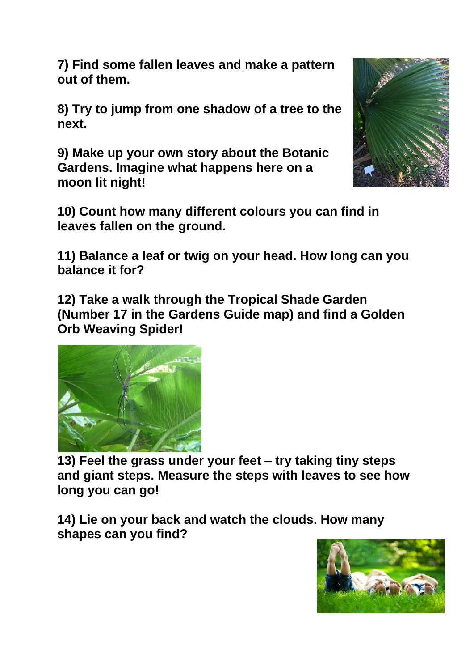**7) Find some fallen leaves and make a pattern out of them.**

**8) Try to jump from one shadow of a tree to the next.**

**9) Make up your own story about the Botanic Gardens. Imagine what happens here on a moon lit night!**



**10) Count how many different colours you can find in leaves fallen on the ground.**

**11) Balance a leaf or twig on your head. How long can you balance it for?**

**12) Take a walk through the Tropical Shade Garden (Number 17 in the Gardens Guide map) and find a Golden Orb Weaving Spider!** 



**13) Feel the grass under your feet – try taking tiny steps and giant steps. Measure the steps with leaves to see how long you can go!**

**14) Lie on your back and watch the clouds. How many shapes can you find?**

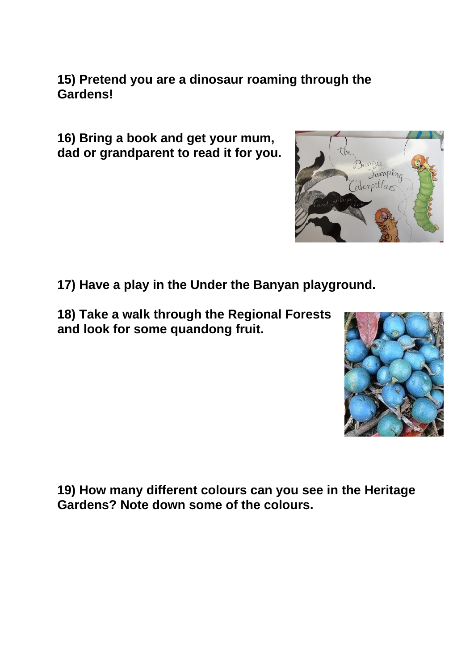**15) Pretend you are a dinosaur roaming through the Gardens!**

**16) Bring a book and get your mum, dad or grandparent to read it for you.**



**18) Take a walk through the Regional Forests and look for some quandong fruit.**